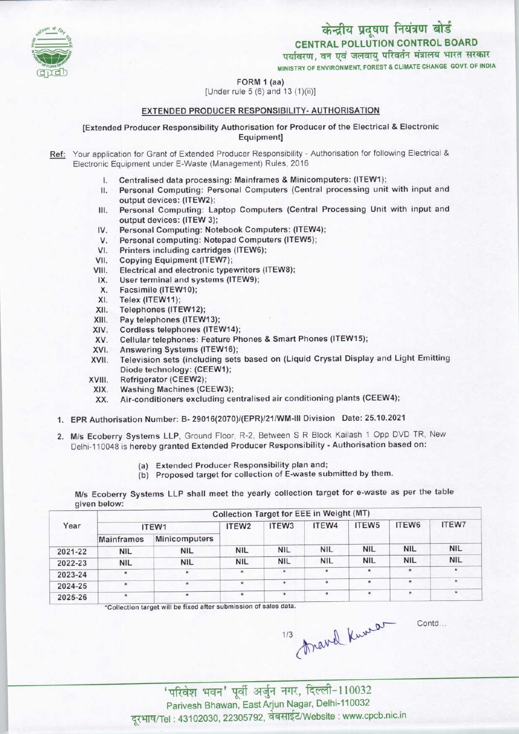

# केन्द्रीय प्रदूषण नियंत्रण बोर्ड

CENTRAL POLLUTION CONTROL BOARD<br>पर्यावरण, वन एवं जलवायु परिवर्तन मंत्रालय भारत सरकार

MINISTRY OF ENVIRONMENT, FOREST & CLIMATE CHANGE GOVT. OF INDIA

## FORM 1 (aa)

[Under rule  $5(6)$  and  $13(1)(ii)$ ]

# EXTENDED PRODUCER RESPONSIBILITY- AUTHORISATION

### [Extended Producer Responsibility Authorisation for Producer of the Electrical & Electronic Equipment]

- Ref: Your application for Grant of Extended Producer Responsibility Authorisation for following Electrical & Electronic Equipment under E-Waste (Management) Rules, 2016
	- I. Centralised data processing: Mainframes & Minicomputers: (ITEW1);
	- II. Personal Computing: Personal Computers (Central processing unit with input and output devices: (ITEW2);
	- III.Personal Computing: Laptop Computers (Central Processing Unit with input and output devices: (ITEW 3); III. Personal Computing: Laptop Computers (Central Foutput devices: (ITEW 3);<br>IV. Personal Computing: Notebook Computers: (ITEW4);<br>M. Personal computing: Notebook Computers (ITEW5);
	- output devices: (ITEW 3);<br>V. Personal Computing: Notebook Computers: (ITEW<br>V. Personal computing: Notepad Computers (ITEW5);<br>Stinters including contriduce (ITEW6);
	- V. Personal Computing: Notebook Computers: (ITEW4<br>V. Personal computing: Notepad Computers (ITEW5);<br>VI. Printers including cartridges (ITEW6);<br>VII. Copying Equipment (ITEW7);
	- VI. Printers including cartridges (ITEW6);<br>VII. Copying Equipment (ITEW7);<br>VIII. Electrical and electronic typewriters (I
	-
	- VI. Printers including cartridges (ITEW6);<br>VII. Copying Equipment (ITEW7);<br>VIII. Electrical and electronic typewriters (ITEW8); III. Copying Equipment (ITEW7);<br>III. Electrical and electronic typewriters<br>IX. User terminal and systems (ITEW9);<br>Y. Eacsimile (ITEW10);
	- IX. User terminal and systems (ITEW9);<br>X. Facsimile (ITEW10);<br>XI. Telex (ITEW11);
	-
	-
	- XI. Telex (ITEW11);<br>XII. Telephones (ITE X. Facsimile (ITEW10);<br>XI. Telex (ITEW11);<br>XII. Telephones (ITEW12);<br>XIII. Pay telephones (ITEW
	- XI. Felex (FEW11);<br>XII. Telephones (ITEW12);<br>XIII. Pay telephones (ITEW13);<br>XIV. Cordless telephones (ITE
	- XIII. Pay telephones (ITEW13);<br>XIV. Cordless telephones (ITEW14);<br>XV. Cellular telephones: Feature Ph
	- XIII. Pay telephones (ITEW13);<br>KIV. Cordless telephones (ITEW14);<br>XV. Cellular telephones: Feature Phones & Smart Phones (ITEW15);<br>XV. Annussian Sustame (ITEW16); XIV. Cordiess telephones (ITEW14)<br>XV. Cellular telephones: Feature P<br>XVI. Answering Systems (ITEW16);
	-
	- XVI. Answering Systems (ITEW16);<br>XVII. Television sets (including sets based on (Liquid Crystal Display and Light Emitting Diode technology: (CEEW1); XVII. Television sets (include<br>Diode technology: (CE<br>XVIII. Refrigerator (CEEW2);<br>XIX. Washing Machines (C
	-
	- XVIII. Refrigerator (CEEW2);<br>XIX. Washing Machines (CEEW3);<br>XX. Air-conditioners excluding ce
		- Air-conditioners excluding centralised air conditioning plants (CEEW4);
	- 1.EPR Authorisation Number: B- 29016(2070)/(EPR)/21/WM-lll Division Date: 25.10.2021
	- 2.M/s Ecoberry Systems LLP, Ground Floor, R-2, Between <sup>S</sup> <sup>R</sup> Block Kailash <sup>1</sup> Opp DVD TR, New Delhi-110048 is hereby granted Extended Producer Responsibility - Authorisation based on:
		- (a) Extended Producer Responsibility plan and;
		- (b) Proposed target for collection of E-waste submitted by them.

M/s Ecoberry Systems LLP shall meet the yearly collection target for e-waste as per the table given below:

| Year    | Collection Target for EEE in Weight (MT) |               |                   |                   |            |                   |              |              |  |  |
|---------|------------------------------------------|---------------|-------------------|-------------------|------------|-------------------|--------------|--------------|--|--|
|         | ITEW1                                    |               | ITEW <sub>2</sub> | ITEW <sub>3</sub> | ITEW4      | ITEW <sub>5</sub> | ITEW6        | <b>ITEW7</b> |  |  |
|         | <b>Mainframes</b>                        | Minicomputers |                   |                   |            |                   |              |              |  |  |
| 2021-22 | <b>NIL</b>                               | <b>NIL</b>    | <b>NIL</b>        | <b>NIL</b>        | <b>NIL</b> | <b>NIL</b>        | <b>NIL</b>   | <b>NIL</b>   |  |  |
| 2022-23 | <b>NIL</b>                               | <b>NIL</b>    | <b>NIL</b>        | <b>NIL</b>        | <b>NIL</b> | <b>NIL</b>        | <b>NIL</b>   | <b>NIL</b>   |  |  |
| 2023-24 | $\star$                                  | $\star$       | $\star$           | 宋                 | $\star$    | $\star$           | $\pmb{\ast}$ | $\star$      |  |  |
| 2024-25 | $\star$                                  | $^{\star}$    | *                 | $\star$           |            | $\star$           | $\star$      | *            |  |  |
| 2025-26 | $\star$                                  | $\star$       | $\star$           | $\star$           |            | $\star$           | $\star$      | $\star$      |  |  |

'Collection target will be fixed after submission of sales data.

 $\frac{1}{3}$  have kweet

Contd.

Parivesh Bhawan, East Arjun Nagar, Delhi-110032 दूरभाष/Tel: 43102030, 22305792, वेबसाईट/Website : www.cpcb.nic.in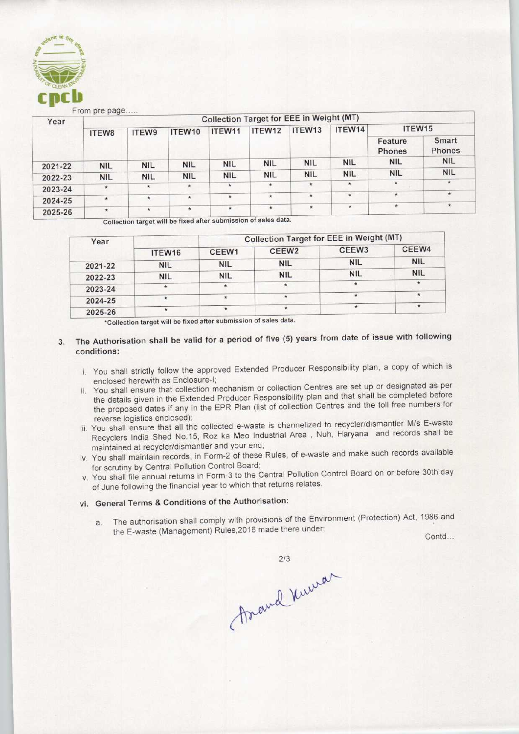

From pre page.

| Year    | $1 - 0$<br><b>Collection Target for EEE in Weight (MT)</b> |            |            |            |            |            |            |                   |                        |  |  |
|---------|------------------------------------------------------------|------------|------------|------------|------------|------------|------------|-------------------|------------------------|--|--|
|         | ITEW8                                                      | ITEW9      | ITEW10     | ITEW11     | ITEW12     | ITEW13     | ITEW14     | ITEW15            |                        |  |  |
|         |                                                            |            |            |            |            |            |            | Feature<br>Phones | Smart<br><b>Phones</b> |  |  |
| 2021-22 | <b>NIL</b>                                                 | <b>NIL</b> | <b>NIL</b> | <b>NIL</b> | <b>NIL</b> | <b>NIL</b> | <b>NIL</b> | <b>NIL</b>        | <b>NIL</b>             |  |  |
| 2022-23 | <b>NIL</b>                                                 | <b>NIL</b> | <b>NIL</b> | <b>NIL</b> | <b>NIL</b> | <b>NIL</b> | <b>NIL</b> | <b>NIL</b>        | <b>NIL</b>             |  |  |
| 2023-24 | $\star$                                                    | $\star$    | $\star$    | $\star$    | $\star$    | $\star$    | $\star$    | $\star$           | $\star$                |  |  |
| 2024-25 | $\star$                                                    | $\star$    | $^{\star}$ | $\star$    | $\star$    | $\star$    | $\star$    | $\star$           | $\star$                |  |  |
| 2025-26 | $\star$                                                    | $\star$    | $\star$    | $\star$    | $\star$    | $\star$    | $\star$    | $\star$           | $\star$                |  |  |

Collection target will be fixed after submission of sales data

| Year    |            | Collection Target for EEE in Weight (MT) |                   |                   |            |  |  |  |
|---------|------------|------------------------------------------|-------------------|-------------------|------------|--|--|--|
|         | ITEW16     | CEEW1                                    | CEEW <sub>2</sub> | CEEW <sub>3</sub> | CEEW4      |  |  |  |
| 2021-22 | <b>NIL</b> | <b>NIL</b>                               | <b>NIL</b>        | <b>NIL</b>        | <b>NIL</b> |  |  |  |
| 2022-23 | <b>NIL</b> | <b>NIL</b>                               | <b>NIL</b>        | <b>NIL</b>        | <b>NIL</b> |  |  |  |
| 2023-24 |            |                                          |                   | $\rightarrow$     | $\star$    |  |  |  |
| 2024-25 |            |                                          | $\star$           |                   | $\ast$     |  |  |  |
| 2025-26 |            |                                          |                   | $\star$           | $\star$    |  |  |  |

'Collection target will be fixed after submission of sales data.

# 3. The Authorisation shall be valid for a period of five (S) years from date of issue with following conditions:

- i. You shall strictly follow the approved Extended Producer Responsibility plan, a copy of which is enclosed herewith as Enclosure-I;
- ii. You shall ensure that collection mechanism or collection Centres are set up or designated as per the details given in the Extended Producer Responsibility plan and that shall be completed before the proposed dates if any in the EPR Plan (list of collection Centres and the toll free numbers for reverse logistics enclosed); Share that conclude the E-waste (Management) Rules, 2016 made there under; the E-waste (Management) Rules, 2016<br>the E-waste (Management Are and the selection Centres and the selections concluded a conclusion and the select
- iii. You shall ensure that all the collected e-waste is channelized to recycler/dismantler M/s E-waste Recyclers India Shed No.15, Roz ka Meo Industrial Area , Nuh, Haryana and records shall be maintained at recycler/dismantler and your end;
- iv. You shall maintain records, in Form-2 of these Rules, of e-waste and make such records available for scrutiny by Central Pollution Control Board;
- v. You shall file annual returns in Form-3 to the Central Pollution Control Board on or before 30th day of June following the financial year to which that returns relates.

# vi. General Terms & Conditions of the Authorisation:

a. The authorisation shall comply with provisions of the Environment (Protection) Act, 1986 and tection) Act, 1986 and<br>Contd...